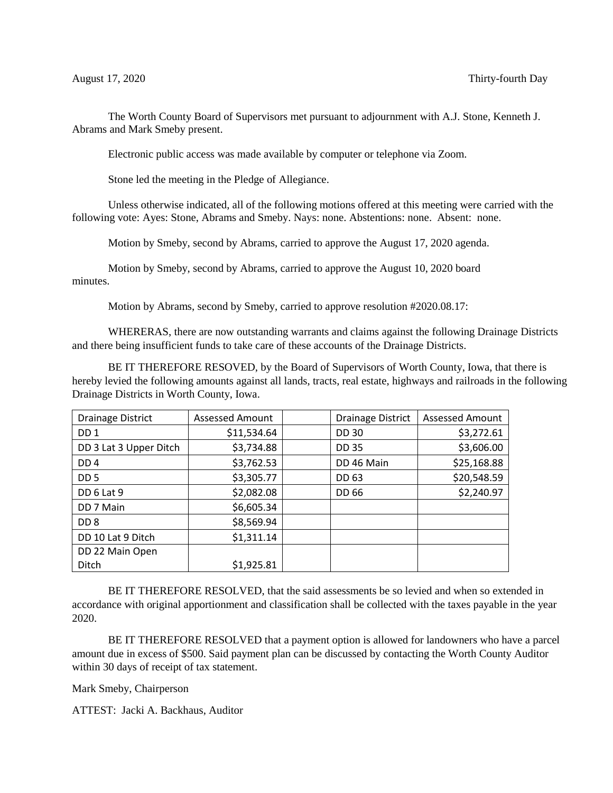The Worth County Board of Supervisors met pursuant to adjournment with A.J. Stone, Kenneth J. Abrams and Mark Smeby present.

Electronic public access was made available by computer or telephone via Zoom.

Stone led the meeting in the Pledge of Allegiance.

Unless otherwise indicated, all of the following motions offered at this meeting were carried with the following vote: Ayes: Stone, Abrams and Smeby. Nays: none. Abstentions: none. Absent: none.

Motion by Smeby, second by Abrams, carried to approve the August 17, 2020 agenda.

Motion by Smeby, second by Abrams, carried to approve the August 10, 2020 board minutes.

Motion by Abrams, second by Smeby, carried to approve resolution #2020.08.17:

WHERERAS, there are now outstanding warrants and claims against the following Drainage Districts and there being insufficient funds to take care of these accounts of the Drainage Districts.

BE IT THEREFORE RESOVED, by the Board of Supervisors of Worth County, Iowa, that there is hereby levied the following amounts against all lands, tracts, real estate, highways and railroads in the following Drainage Districts in Worth County, Iowa.

| <b>Drainage District</b> | <b>Assessed Amount</b> | <b>Drainage District</b> | <b>Assessed Amount</b> |
|--------------------------|------------------------|--------------------------|------------------------|
| DD <sub>1</sub>          | \$11,534.64            | <b>DD 30</b>             | \$3,272.61             |
| DD 3 Lat 3 Upper Ditch   | \$3,734.88             | <b>DD 35</b>             | \$3,606.00             |
| DD <sub>4</sub>          | \$3,762.53             | DD 46 Main               | \$25,168.88            |
| DD <sub>5</sub>          | \$3,305.77             | <b>DD 63</b>             | \$20,548.59            |
| DD 6 Lat 9               | \$2,082.08             | DD 66                    | \$2,240.97             |
| DD 7 Main                | \$6,605.34             |                          |                        |
| DD <sub>8</sub>          | \$8,569.94             |                          |                        |
| DD 10 Lat 9 Ditch        | \$1,311.14             |                          |                        |
| DD 22 Main Open          |                        |                          |                        |
| Ditch                    | \$1,925.81             |                          |                        |

BE IT THEREFORE RESOLVED, that the said assessments be so levied and when so extended in accordance with original apportionment and classification shall be collected with the taxes payable in the year 2020.

BE IT THEREFORE RESOLVED that a payment option is allowed for landowners who have a parcel amount due in excess of \$500. Said payment plan can be discussed by contacting the Worth County Auditor within 30 days of receipt of tax statement.

Mark Smeby, Chairperson

ATTEST: Jacki A. Backhaus, Auditor